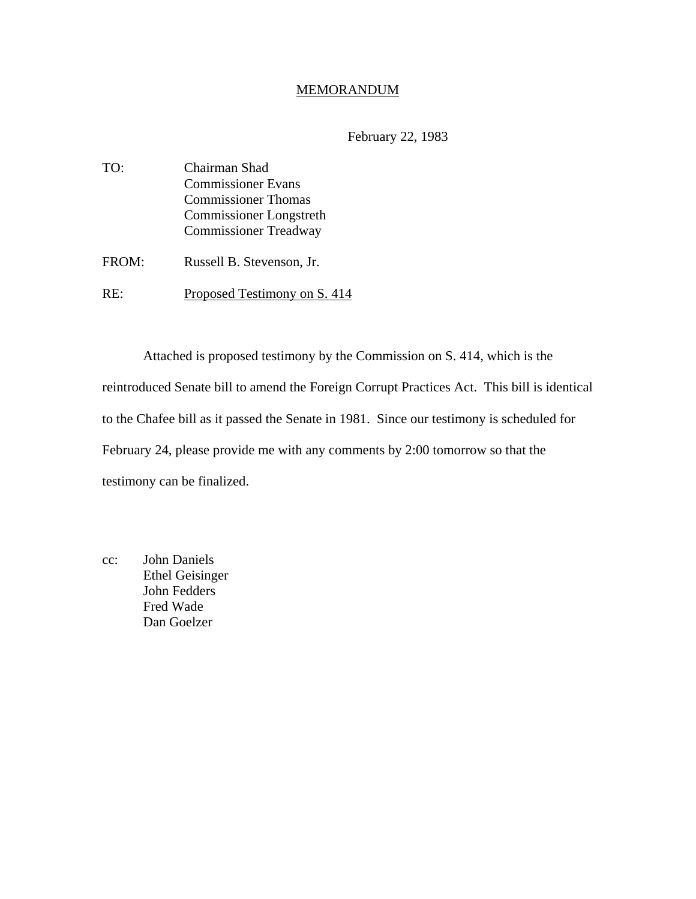#### MEMORANDUM

# February 22, 1983

| TO:   | Chairman Shad                  |
|-------|--------------------------------|
|       | <b>Commissioner Evans</b>      |
|       | <b>Commissioner Thomas</b>     |
|       | <b>Commissioner Longstreth</b> |
|       | <b>Commissioner Treadway</b>   |
| FROM: | Russell B. Stevenson, Jr.      |
| RE:   | Proposed Testimony on S. 414   |

 Attached is proposed testimony by the Commission on S. 414, which is the reintroduced Senate bill to amend the Foreign Corrupt Practices Act. This bill is identical to the Chafee bill as it passed the Senate in 1981. Since our testimony is scheduled for February 24, please provide me with any comments by 2:00 tomorrow so that the testimony can be finalized.

cc: John Daniels Ethel Geisinger John Fedders Fred Wade Dan Goelzer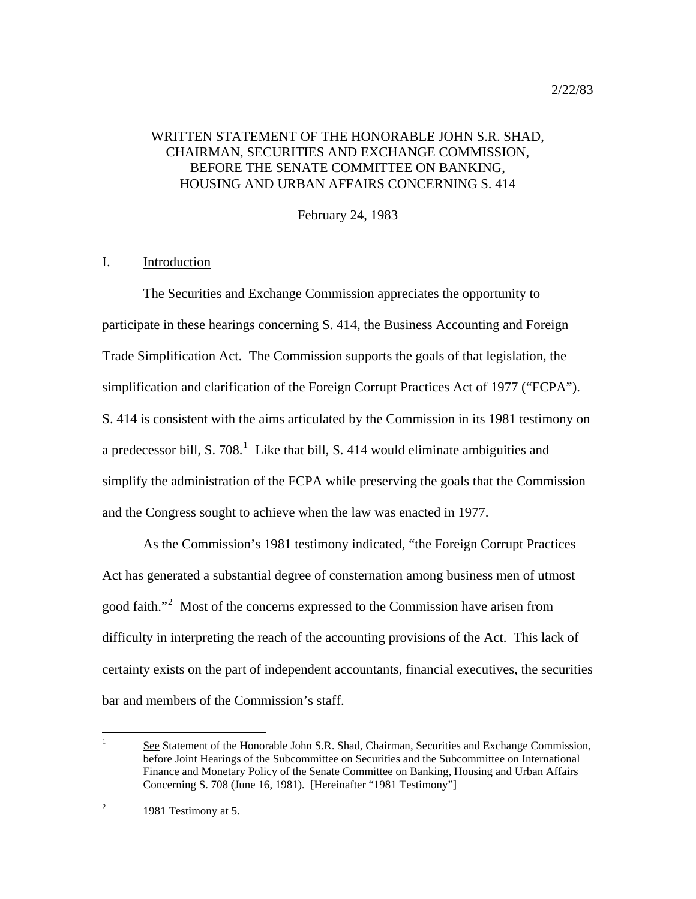# WRITTEN STATEMENT OF THE HONORABLE JOHN S.R. SHAD, CHAIRMAN, SECURITIES AND EXCHANGE COMMISSION, BEFORE THE SENATE COMMITTEE ON BANKING, HOUSING AND URBAN AFFAIRS CONCERNING S. 414

February 24, 1983

## I. Introduction

 The Securities and Exchange Commission appreciates the opportunity to participate in these hearings concerning S. 414, the Business Accounting and Foreign Trade Simplification Act. The Commission supports the goals of that legislation, the simplification and clarification of the Foreign Corrupt Practices Act of 1977 ("FCPA"). S. 414 is consistent with the aims articulated by the Commission in its 1981 testimony on a predecessor bill, S. 708. $^1$  $^1$  Like that bill, S. 414 would eliminate ambiguities and simplify the administration of the FCPA while preserving the goals that the Commission and the Congress sought to achieve when the law was enacted in 1977.

 As the Commission's 1981 testimony indicated, "the Foreign Corrupt Practices Act has generated a substantial degree of consternation among business men of utmost good faith."<sup>[2](#page-1-1)</sup> Most of the concerns expressed to the Commission have arisen from difficulty in interpreting the reach of the accounting provisions of the Act. This lack of certainty exists on the part of independent accountants, financial executives, the securities bar and members of the Commission's staff.

<span id="page-1-0"></span> $\frac{1}{1}$  See Statement of the Honorable John S.R. Shad, Chairman, Securities and Exchange Commission, before Joint Hearings of the Subcommittee on Securities and the Subcommittee on International Finance and Monetary Policy of the Senate Committee on Banking, Housing and Urban Affairs Concerning S. 708 (June 16, 1981). [Hereinafter "1981 Testimony"]

<span id="page-1-1"></span><sup>2</sup> 1981 Testimony at 5.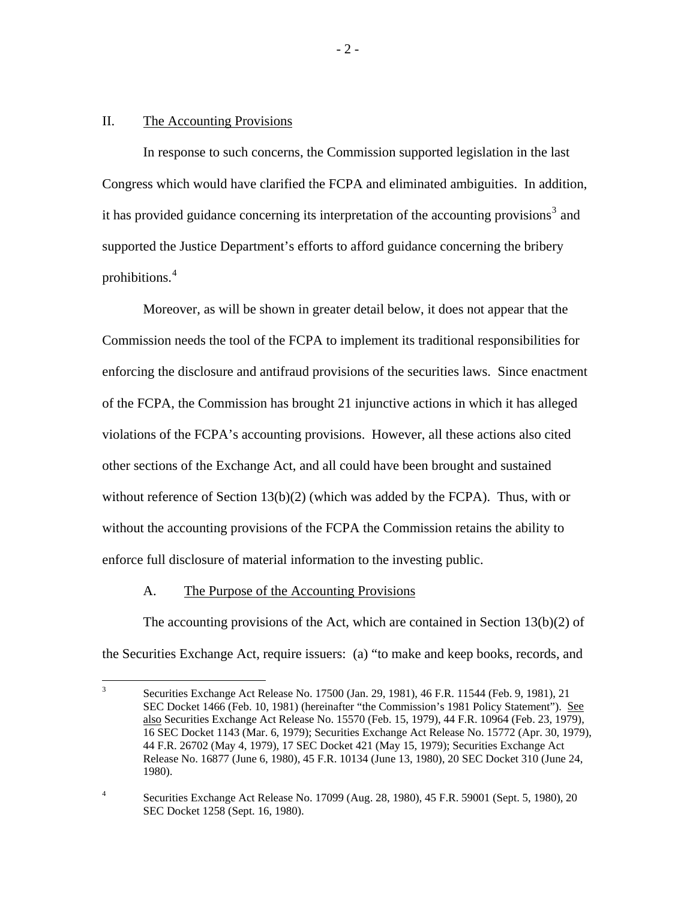### II. The Accounting Provisions

 In response to such concerns, the Commission supported legislation in the last Congress which would have clarified the FCPA and eliminated ambiguities. In addition, it has provided guidance concerning its interpretation of the accounting provisions<sup>[3](#page-2-0)</sup> and supported the Justice Department's efforts to afford guidance concerning the bribery prohibitions.[4](#page-2-1)

 Moreover, as will be shown in greater detail below, it does not appear that the Commission needs the tool of the FCPA to implement its traditional responsibilities for enforcing the disclosure and antifraud provisions of the securities laws. Since enactment of the FCPA, the Commission has brought 21 injunctive actions in which it has alleged violations of the FCPA's accounting provisions. However, all these actions also cited other sections of the Exchange Act, and all could have been brought and sustained without reference of Section  $13(b)(2)$  (which was added by the FCPA). Thus, with or without the accounting provisions of the FCPA the Commission retains the ability to enforce full disclosure of material information to the investing public.

#### A. The Purpose of the Accounting Provisions

The accounting provisions of the Act, which are contained in Section  $13(b)(2)$  of the Securities Exchange Act, require issuers: (a) "to make and keep books, records, and

<span id="page-2-0"></span><sup>&</sup>lt;sup>2</sup><br>3 Securities Exchange Act Release No. 17500 (Jan. 29, 1981), 46 F.R. 11544 (Feb. 9, 1981), 21 SEC Docket 1466 (Feb. 10, 1981) (hereinafter "the Commission's 1981 Policy Statement"). See also Securities Exchange Act Release No. 15570 (Feb. 15, 1979), 44 F.R. 10964 (Feb. 23, 1979), 16 SEC Docket 1143 (Mar. 6, 1979); Securities Exchange Act Release No. 15772 (Apr. 30, 1979), 44 F.R. 26702 (May 4, 1979), 17 SEC Docket 421 (May 15, 1979); Securities Exchange Act Release No. 16877 (June 6, 1980), 45 F.R. 10134 (June 13, 1980), 20 SEC Docket 310 (June 24, 1980).

<span id="page-2-1"></span><sup>4</sup> Securities Exchange Act Release No. 17099 (Aug. 28, 1980), 45 F.R. 59001 (Sept. 5, 1980), 20 SEC Docket 1258 (Sept. 16, 1980).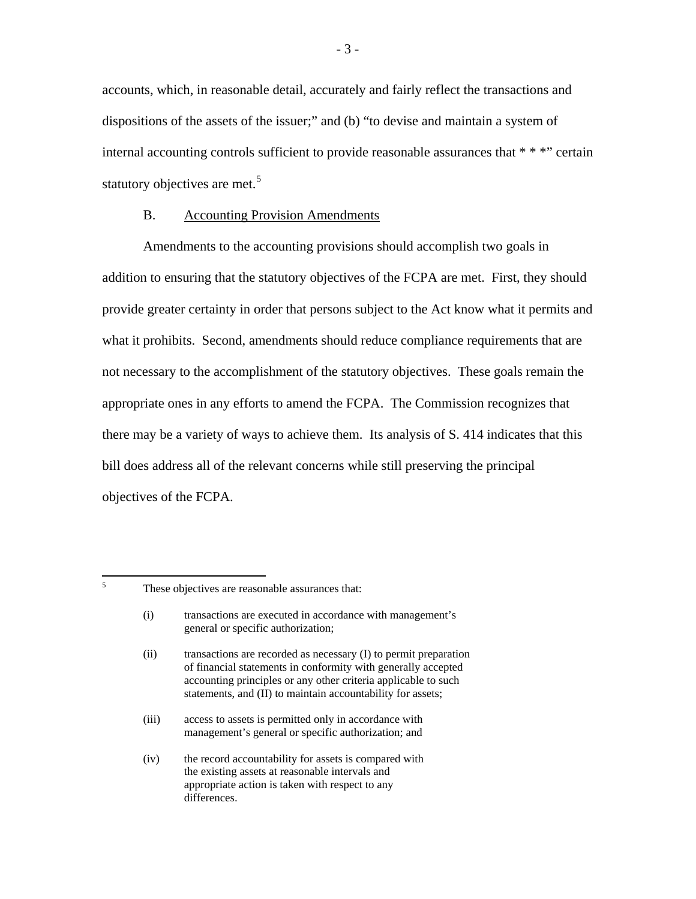accounts, which, in reasonable detail, accurately and fairly reflect the transactions and dispositions of the assets of the issuer;" and (b) "to devise and maintain a system of internal accounting controls sufficient to provide reasonable assurances that \* \* \*" certain statutory objectives are met.<sup>[5](#page-3-0)</sup>

### B. Accounting Provision Amendments

Amendments to the accounting provisions should accomplish two goals in addition to ensuring that the statutory objectives of the FCPA are met. First, they should provide greater certainty in order that persons subject to the Act know what it permits and what it prohibits. Second, amendments should reduce compliance requirements that are not necessary to the accomplishment of the statutory objectives. These goals remain the appropriate ones in any efforts to amend the FCPA. The Commission recognizes that there may be a variety of ways to achieve them. Its analysis of S. 414 indicates that this bill does address all of the relevant concerns while still preserving the principal objectives of the FCPA.

<span id="page-3-0"></span>5

These objectives are reasonable assurances that:

 <sup>(</sup>i) transactions are executed in accordance with management's general or specific authorization;

 <sup>(</sup>ii) transactions are recorded as necessary (I) to permit preparation of financial statements in conformity with generally accepted accounting principles or any other criteria applicable to such statements, and (II) to maintain accountability for assets;

 <sup>(</sup>iii) access to assets is permitted only in accordance with management's general or specific authorization; and

 <sup>(</sup>iv) the record accountability for assets is compared with the existing assets at reasonable intervals and appropriate action is taken with respect to any differences.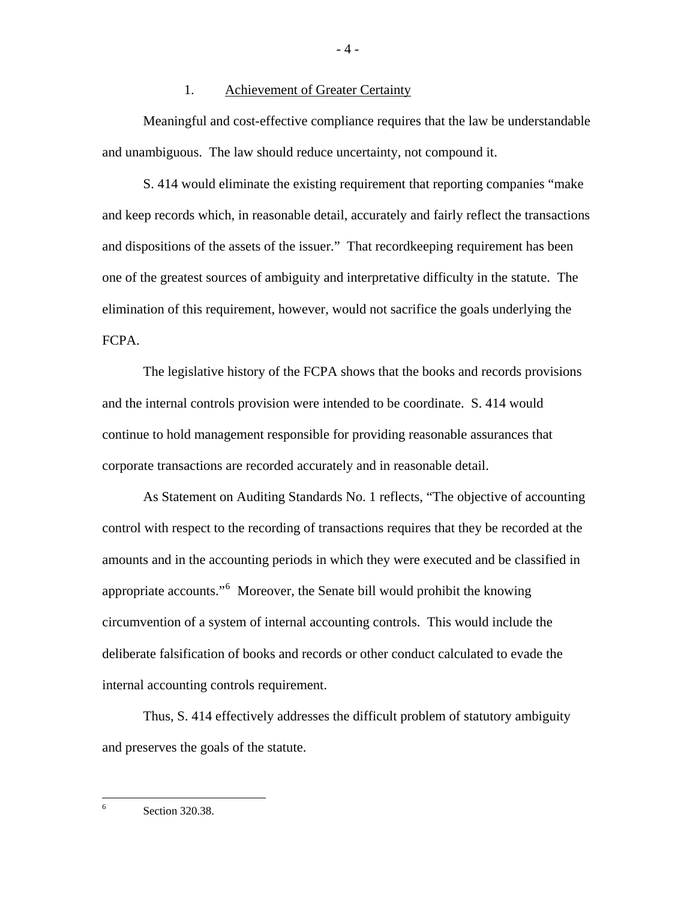### 1. Achievement of Greater Certainty

 Meaningful and cost-effective compliance requires that the law be understandable and unambiguous. The law should reduce uncertainty, not compound it.

 S. 414 would eliminate the existing requirement that reporting companies "make and keep records which, in reasonable detail, accurately and fairly reflect the transactions and dispositions of the assets of the issuer." That recordkeeping requirement has been one of the greatest sources of ambiguity and interpretative difficulty in the statute. The elimination of this requirement, however, would not sacrifice the goals underlying the FCPA.

 The legislative history of the FCPA shows that the books and records provisions and the internal controls provision were intended to be coordinate. S. 414 would continue to hold management responsible for providing reasonable assurances that corporate transactions are recorded accurately and in reasonable detail.

 As Statement on Auditing Standards No. 1 reflects, "The objective of accounting control with respect to the recording of transactions requires that they be recorded at the amounts and in the accounting periods in which they were executed and be classified in appropriate accounts."<sup>[6](#page-4-0)</sup> Moreover, the Senate bill would prohibit the knowing circumvention of a system of internal accounting controls. This would include the deliberate falsification of books and records or other conduct calculated to evade the internal accounting controls requirement.

 Thus, S. 414 effectively addresses the difficult problem of statutory ambiguity and preserves the goals of the statute.

<span id="page-4-0"></span> 6 Section 320.38. - 4 -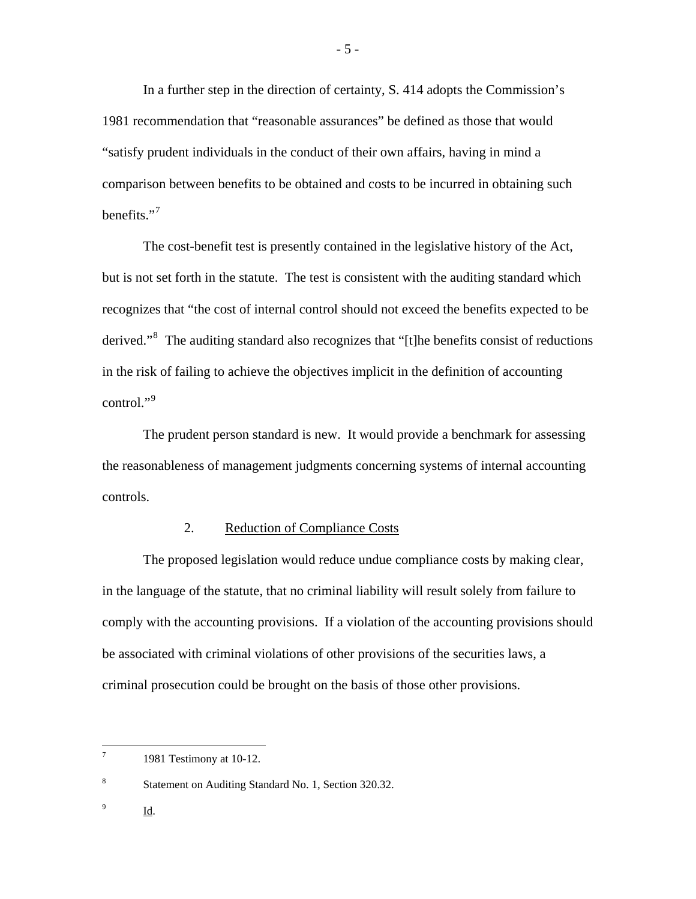In a further step in the direction of certainty, S. 414 adopts the Commission's 1981 recommendation that "reasonable assurances" be defined as those that would "satisfy prudent individuals in the conduct of their own affairs, having in mind a comparison between benefits to be obtained and costs to be incurred in obtaining such benefits. $"$ <sup>[7](#page-5-0)</sup>

 The cost-benefit test is presently contained in the legislative history of the Act, but is not set forth in the statute. The test is consistent with the auditing standard which recognizes that "the cost of internal control should not exceed the benefits expected to be derived."<sup>[8](#page-5-1)</sup> The auditing standard also recognizes that "[t]he benefits consist of reductions in the risk of failing to achieve the objectives implicit in the definition of accounting control."<sup>[9](#page-5-2)</sup>

 The prudent person standard is new. It would provide a benchmark for assessing the reasonableness of management judgments concerning systems of internal accounting controls.

### 2. Reduction of Compliance Costs

 The proposed legislation would reduce undue compliance costs by making clear, in the language of the statute, that no criminal liability will result solely from failure to comply with the accounting provisions. If a violation of the accounting provisions should be associated with criminal violations of other provisions of the securities laws, a criminal prosecution could be brought on the basis of those other provisions.

<span id="page-5-2"></span>9 Id.

<span id="page-5-0"></span><sup>-&</sup>lt;br>7 1981 Testimony at 10-12.

<span id="page-5-1"></span><sup>8</sup> Statement on Auditing Standard No. 1, Section 320.32.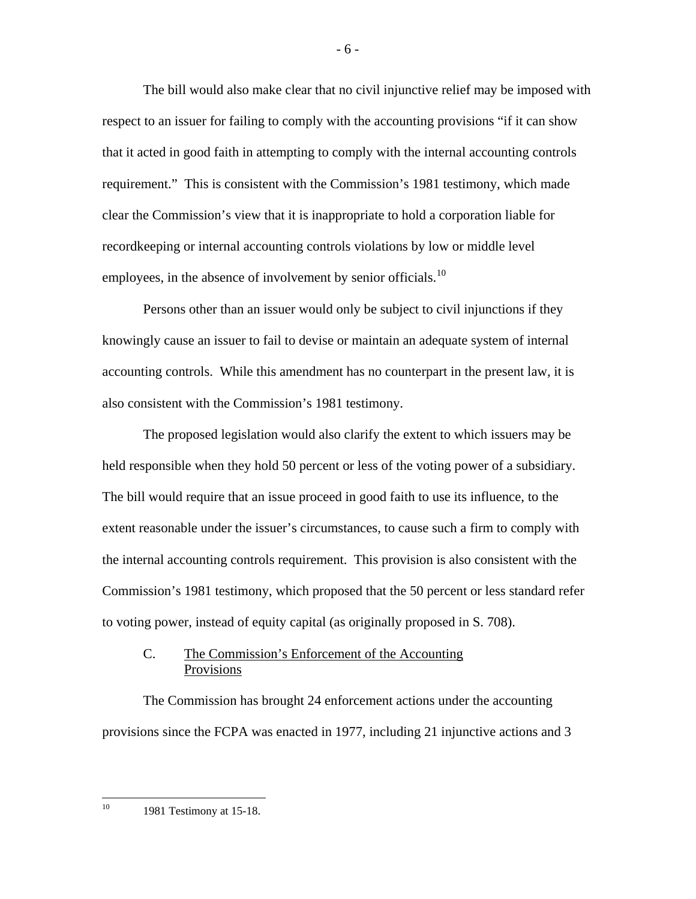The bill would also make clear that no civil injunctive relief may be imposed with respect to an issuer for failing to comply with the accounting provisions "if it can show that it acted in good faith in attempting to comply with the internal accounting controls requirement." This is consistent with the Commission's 1981 testimony, which made clear the Commission's view that it is inappropriate to hold a corporation liable for recordkeeping or internal accounting controls violations by low or middle level employees, in the absence of involvement by senior officials.<sup>[10](#page-6-0)</sup>

 Persons other than an issuer would only be subject to civil injunctions if they knowingly cause an issuer to fail to devise or maintain an adequate system of internal accounting controls. While this amendment has no counterpart in the present law, it is also consistent with the Commission's 1981 testimony.

 The proposed legislation would also clarify the extent to which issuers may be held responsible when they hold 50 percent or less of the voting power of a subsidiary. The bill would require that an issue proceed in good faith to use its influence, to the extent reasonable under the issuer's circumstances, to cause such a firm to comply with the internal accounting controls requirement. This provision is also consistent with the Commission's 1981 testimony, which proposed that the 50 percent or less standard refer to voting power, instead of equity capital (as originally proposed in S. 708).

## C. The Commission's Enforcement of the Accounting Provisions

 The Commission has brought 24 enforcement actions under the accounting provisions since the FCPA was enacted in 1977, including 21 injunctive actions and 3

10 1981 Testimony at 15-18.

<span id="page-6-0"></span> $10^{\circ}$ 

- 6 -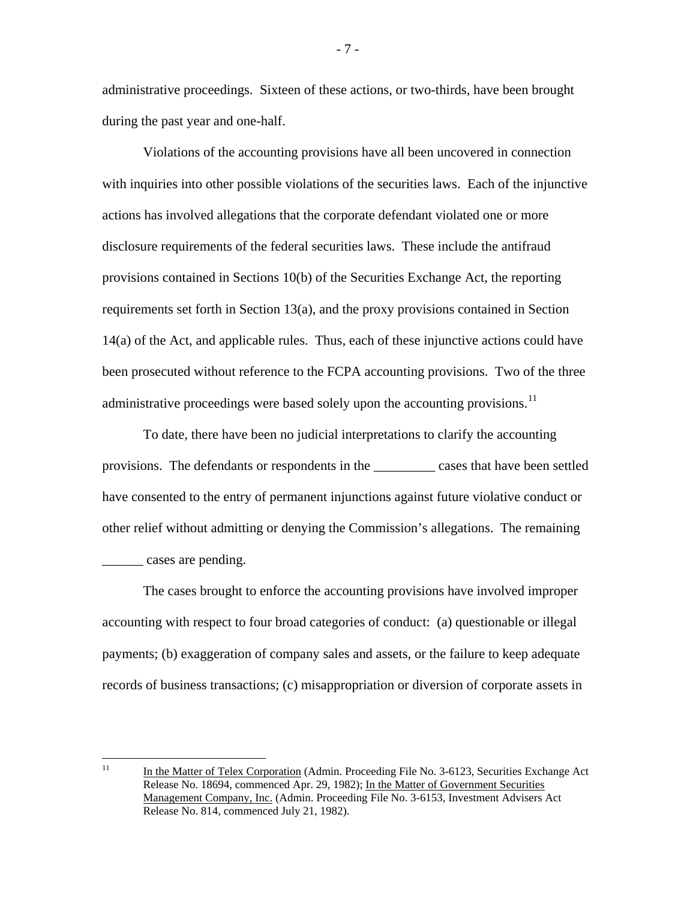administrative proceedings. Sixteen of these actions, or two-thirds, have been brought during the past year and one-half.

 Violations of the accounting provisions have all been uncovered in connection with inquiries into other possible violations of the securities laws. Each of the injunctive actions has involved allegations that the corporate defendant violated one or more disclosure requirements of the federal securities laws. These include the antifraud provisions contained in Sections 10(b) of the Securities Exchange Act, the reporting requirements set forth in Section 13(a), and the proxy provisions contained in Section 14(a) of the Act, and applicable rules. Thus, each of these injunctive actions could have been prosecuted without reference to the FCPA accounting provisions. Two of the three administrative proceedings were based solely upon the accounting provisions.<sup>[11](#page-7-0)</sup>

 To date, there have been no judicial interpretations to clarify the accounting provisions. The defendants or respondents in the \_\_\_\_\_\_\_\_\_ cases that have been settled have consented to the entry of permanent injunctions against future violative conduct or other relief without admitting or denying the Commission's allegations. The remaining \_\_\_\_\_\_ cases are pending.

 The cases brought to enforce the accounting provisions have involved improper accounting with respect to four broad categories of conduct: (a) questionable or illegal payments; (b) exaggeration of company sales and assets, or the failure to keep adequate records of business transactions; (c) misappropriation or diversion of corporate assets in

- 7 -

<span id="page-7-0"></span> $11$ In the Matter of Telex Corporation (Admin. Proceeding File No. 3-6123, Securities Exchange Act Release No. 18694, commenced Apr. 29, 1982); In the Matter of Government Securities Management Company, Inc. (Admin. Proceeding File No. 3-6153, Investment Advisers Act Release No. 814, commenced July 21, 1982).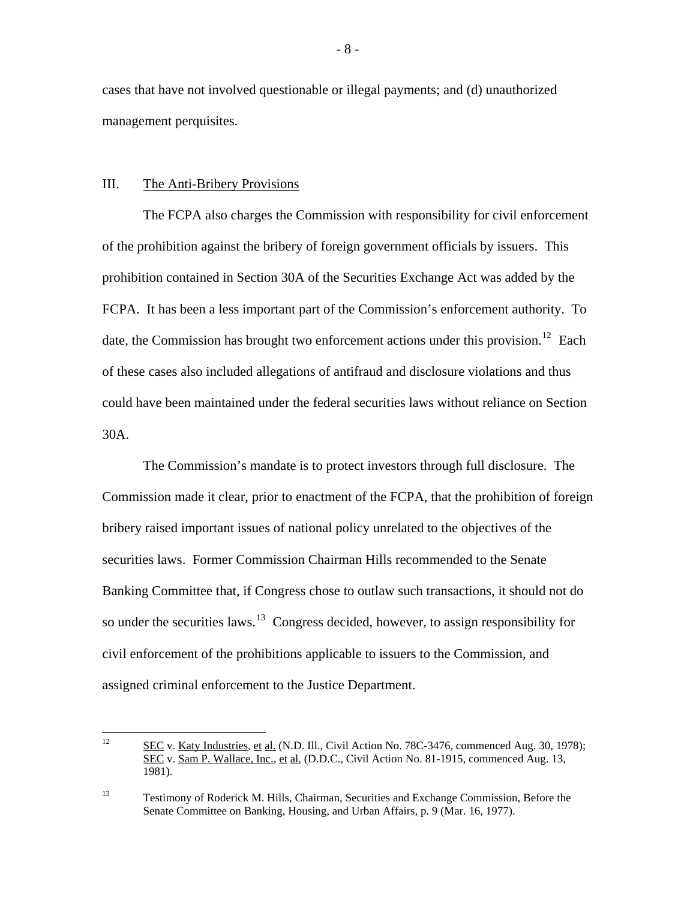cases that have not involved questionable or illegal payments; and (d) unauthorized management perquisites.

#### III. The Anti-Bribery Provisions

 The FCPA also charges the Commission with responsibility for civil enforcement of the prohibition against the bribery of foreign government officials by issuers. This prohibition contained in Section 30A of the Securities Exchange Act was added by the FCPA. It has been a less important part of the Commission's enforcement authority. To date, the Commission has brought two enforcement actions under this provision.<sup>[12](#page-8-0)</sup> Each of these cases also included allegations of antifraud and disclosure violations and thus could have been maintained under the federal securities laws without reliance on Section 30A.

 The Commission's mandate is to protect investors through full disclosure. The Commission made it clear, prior to enactment of the FCPA, that the prohibition of foreign bribery raised important issues of national policy unrelated to the objectives of the securities laws. Former Commission Chairman Hills recommended to the Senate Banking Committee that, if Congress chose to outlaw such transactions, it should not do so under the securities laws.<sup>[13](#page-8-1)</sup> Congress decided, however, to assign responsibility for civil enforcement of the prohibitions applicable to issuers to the Commission, and assigned criminal enforcement to the Justice Department.

<span id="page-8-0"></span> $12 \overline{ }$ 12 SEC v. Katy Industries, et al. (N.D. Ill., Civil Action No. 78C-3476, commenced Aug. 30, 1978); SEC v. Sam P. Wallace, Inc., et al. (D.D.C., Civil Action No. 81-1915, commenced Aug. 13, 1981).

<span id="page-8-1"></span><sup>13</sup> Testimony of Roderick M. Hills, Chairman, Securities and Exchange Commission, Before the Senate Committee on Banking, Housing, and Urban Affairs, p. 9 (Mar. 16, 1977).